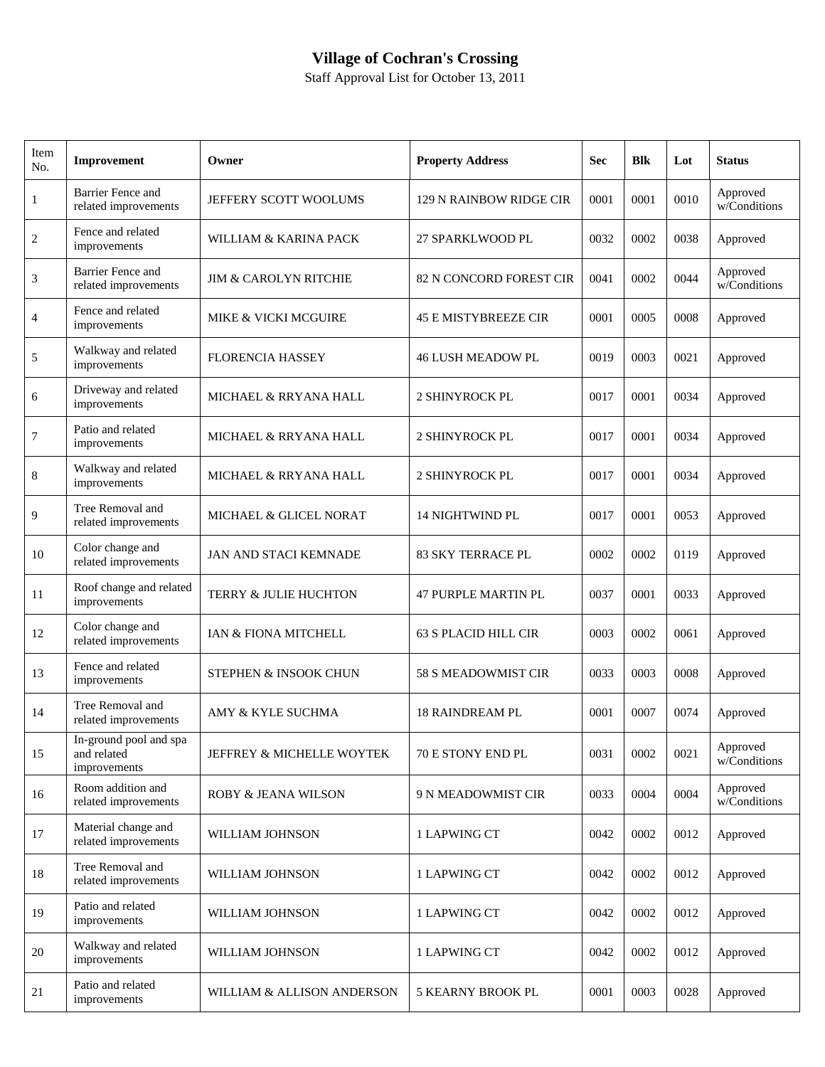## **Village of Cochran's Crossing**

Staff Approval List for October 13, 2011

| Item<br>No.  | Improvement                                           | Owner                            | <b>Property Address</b>     | <b>Sec</b> | <b>Blk</b> | Lot  | <b>Status</b>            |
|--------------|-------------------------------------------------------|----------------------------------|-----------------------------|------------|------------|------|--------------------------|
| $\mathbf{1}$ | <b>Barrier Fence and</b><br>related improvements      | JEFFERY SCOTT WOOLUMS            | 129 N RAINBOW RIDGE CIR     | 0001       | 0001       | 0010 | Approved<br>w/Conditions |
| 2            | Fence and related<br>improvements                     | WILLIAM & KARINA PACK            | 27 SPARKLWOOD PL            | 0032       | 0002       | 0038 | Approved                 |
| 3            | Barrier Fence and<br>related improvements             | <b>JIM &amp; CAROLYN RITCHIE</b> | 82 N CONCORD FOREST CIR     | 0041       | 0002       | 0044 | Approved<br>w/Conditions |
| 4            | Fence and related<br>improvements                     | MIKE & VICKI MCGUIRE             | <b>45 E MISTYBREEZE CIR</b> | 0001       | 0005       | 0008 | Approved                 |
| 5            | Walkway and related<br>improvements                   | <b>FLORENCIA HASSEY</b>          | <b>46 LUSH MEADOW PL</b>    | 0019       | 0003       | 0021 | Approved                 |
| 6            | Driveway and related<br>improvements                  | MICHAEL & RRYANA HALL            | 2 SHINYROCK PL              | 0017       | 0001       | 0034 | Approved                 |
| $\tau$       | Patio and related<br>improvements                     | MICHAEL & RRYANA HALL            | <b>2 SHINYROCK PL</b>       | 0017       | 0001       | 0034 | Approved                 |
| 8            | Walkway and related<br>improvements                   | MICHAEL & RRYANA HALL            | 2 SHINYROCK PL              | 0017       | 0001       | 0034 | Approved                 |
| 9            | Tree Removal and<br>related improvements              | MICHAEL & GLICEL NORAT           | <b>14 NIGHTWIND PL</b>      | 0017       | 0001       | 0053 | Approved                 |
| 10           | Color change and<br>related improvements              | <b>JAN AND STACI KEMNADE</b>     | <b>83 SKY TERRACE PL</b>    | 0002       | 0002       | 0119 | Approved                 |
| 11           | Roof change and related<br>improvements               | TERRY & JULIE HUCHTON            | <b>47 PURPLE MARTIN PL</b>  | 0037       | 0001       | 0033 | Approved                 |
| 12           | Color change and<br>related improvements              | IAN & FIONA MITCHELL             | <b>63 S PLACID HILL CIR</b> | 0003       | 0002       | 0061 | Approved                 |
| 13           | Fence and related<br>improvements                     | STEPHEN & INSOOK CHUN            | 58 S MEADOWMIST CIR         | 0033       | 0003       | 0008 | Approved                 |
| 14           | Tree Removal and<br>related improvements              | AMY & KYLE SUCHMA                | <b>18 RAINDREAM PL</b>      | 0001       | 0007       | 0074 | Approved                 |
| 15           | In-ground pool and spa<br>and related<br>improvements | JEFFREY & MICHELLE WOYTEK        | 70 E STONY END PL           | 0031       | 0002       | 0021 | Approved<br>w/Conditions |
| 16           | Room addition and<br>related improvements             | <b>ROBY &amp; JEANA WILSON</b>   | 9 N MEADOWMIST CIR          | 0033       | 0004       | 0004 | Approved<br>w/Conditions |
| 17           | Material change and<br>related improvements           | WILLIAM JOHNSON                  | 1 LAPWING CT                | 0042       | 0002       | 0012 | Approved                 |
| 18           | Tree Removal and<br>related improvements              | WILLIAM JOHNSON                  | 1 LAPWING CT                | 0042       | 0002       | 0012 | Approved                 |
| 19           | Patio and related<br>improvements                     | WILLIAM JOHNSON                  | 1 LAPWING CT                | 0042       | 0002       | 0012 | Approved                 |
| 20           | Walkway and related<br>improvements                   | WILLIAM JOHNSON                  | 1 LAPWING CT                | 0042       | 0002       | 0012 | Approved                 |
| 21           | Patio and related<br>improvements                     | WILLIAM & ALLISON ANDERSON       | 5 KEARNY BROOK PL           | 0001       | 0003       | 0028 | Approved                 |